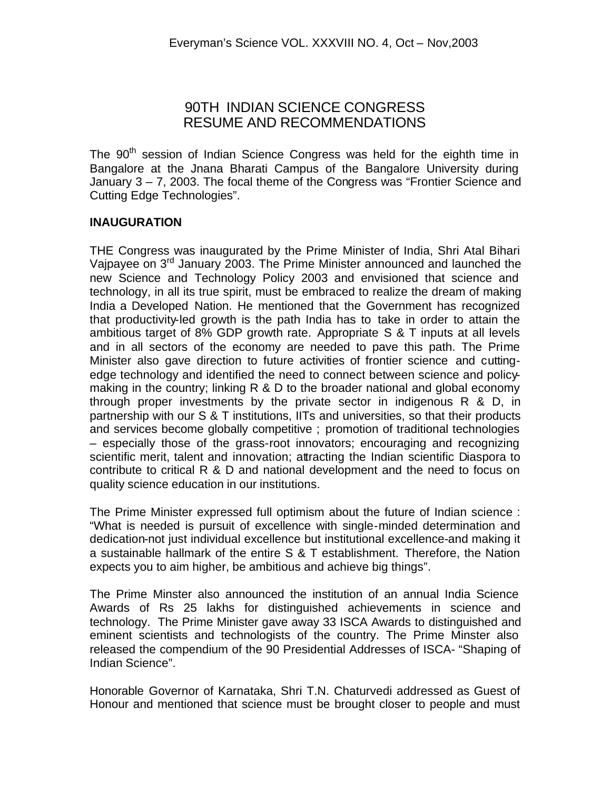# 90TH INDIAN SCIENCE CONGRESS RESUME AND RECOMMENDATIONS

The  $90<sup>th</sup>$  session of Indian Science Congress was held for the eighth time in Bangalore at the Jnana Bharati Campus of the Bangalore University during January 3 – 7, 2003. The focal theme of the Congress was "Frontier Science and Cutting Edge Technologies".

#### **INAUGURATION**

THE Congress was inaugurated by the Prime Minister of India, Shri Atal Bihari Vajpayee on 3<sup>rd</sup> January 2003. The Prime Minister announced and launched the new Science and Technology Policy 2003 and envisioned that science and technology, in all its true spirit, must be embraced to realize the dream of making India a Developed Nation. He mentioned that the Government has recognized that productivity-led growth is the path India has to take in order to attain the ambitious target of 8% GDP growth rate. Appropriate S & T inputs at all levels and in all sectors of the economy are needed to pave this path. The Prime Minister also gave direction to future activities of frontier science and cuttingedge technology and identified the need to connect between science and policymaking in the country; linking R & D to the broader national and global economy through proper investments by the private sector in indigenous R & D, in partnership with our S & T institutions, IITs and universities, so that their products and services become globally competitive ; promotion of traditional technologies – especially those of the grass-root innovators; encouraging and recognizing scientific merit, talent and innovation; attracting the Indian scientific Diaspora to contribute to critical R & D and national development and the need to focus on quality science education in our institutions.

The Prime Minister expressed full optimism about the future of Indian science : "What is needed is pursuit of excellence with single-minded determination and dedication-not just individual excellence but institutional excellence-and making it a sustainable hallmark of the entire S & T establishment. Therefore, the Nation expects you to aim higher, be ambitious and achieve big things".

The Prime Minster also announced the institution of an annual India Science Awards of Rs 25 lakhs for distinguished achievements in science and technology. The Prime Minister gave away 33 ISCA Awards to distinguished and eminent scientists and technologists of the country. The Prime Minster also released the compendium of the 90 Presidential Addresses of ISCA- "Shaping of Indian Science".

Honorable Governor of Karnataka, Shri T.N. Chaturvedi addressed as Guest of Honour and mentioned that science must be brought closer to people and must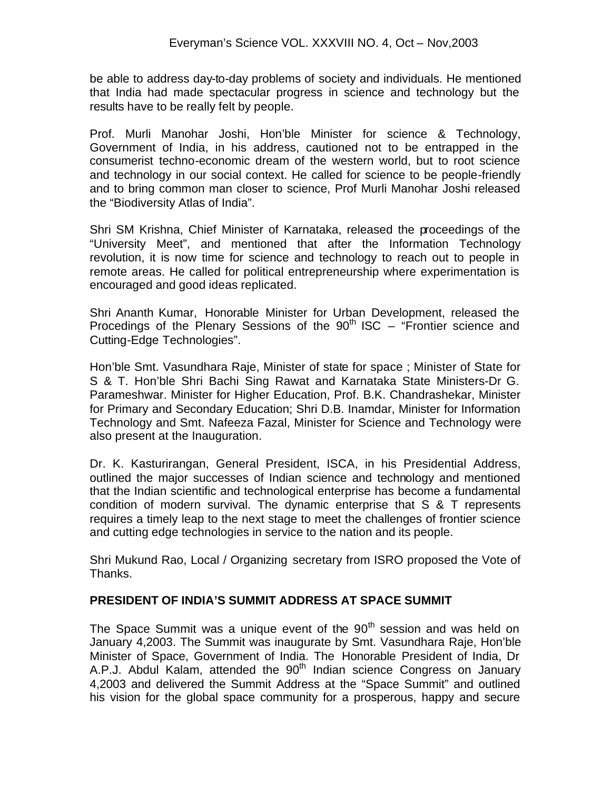be able to address day-to-day problems of society and individuals. He mentioned that India had made spectacular progress in science and technology but the results have to be really felt by people.

Prof. Murli Manohar Joshi, Hon'ble Minister for science & Technology, Government of India, in his address, cautioned not to be entrapped in the consumerist techno-economic dream of the western world, but to root science and technology in our social context. He called for science to be people-friendly and to bring common man closer to science, Prof Murli Manohar Joshi released the "Biodiversity Atlas of India".

Shri SM Krishna, Chief Minister of Karnataka, released the proceedings of the "University Meet", and mentioned that after the Information Technology revolution, it is now time for science and technology to reach out to people in remote areas. He called for political entrepreneurship where experimentation is encouraged and good ideas replicated.

Shri Ananth Kumar, Honorable Minister for Urban Development, released the Procedings of the Plenary Sessions of the  $90<sup>th</sup>$  ISC – "Frontier science and Cutting-Edge Technologies".

Hon'ble Smt. Vasundhara Raje, Minister of state for space ; Minister of State for S & T. Hon'ble Shri Bachi Sing Rawat and Karnataka State Ministers-Dr G. Parameshwar. Minister for Higher Education, Prof. B.K. Chandrashekar, Minister for Primary and Secondary Education; Shri D.B. Inamdar, Minister for Information Technology and Smt. Nafeeza Fazal, Minister for Science and Technology were also present at the Inauguration.

Dr. K. Kasturirangan, General President, ISCA, in his Presidential Address, outlined the major successes of Indian science and technology and mentioned that the Indian scientific and technological enterprise has become a fundamental condition of modern survival. The dynamic enterprise that S & T represents requires a timely leap to the next stage to meet the challenges of frontier science and cutting edge technologies in service to the nation and its people.

Shri Mukund Rao, Local / Organizing secretary from ISRO proposed the Vote of Thanks.

# **PRESIDENT OF INDIA'S SUMMIT ADDRESS AT SPACE SUMMIT**

The Space Summit was a unique event of the  $90<sup>th</sup>$  session and was held on January 4,2003. The Summit was inaugurate by Smt. Vasundhara Raje, Hon'ble Minister of Space, Government of India. The Honorable President of India, Dr A.P.J. Abdul Kalam, attended the  $90<sup>th</sup>$  Indian science Congress on January 4,2003 and delivered the Summit Address at the "Space Summit" and outlined his vision for the global space community for a prosperous, happy and secure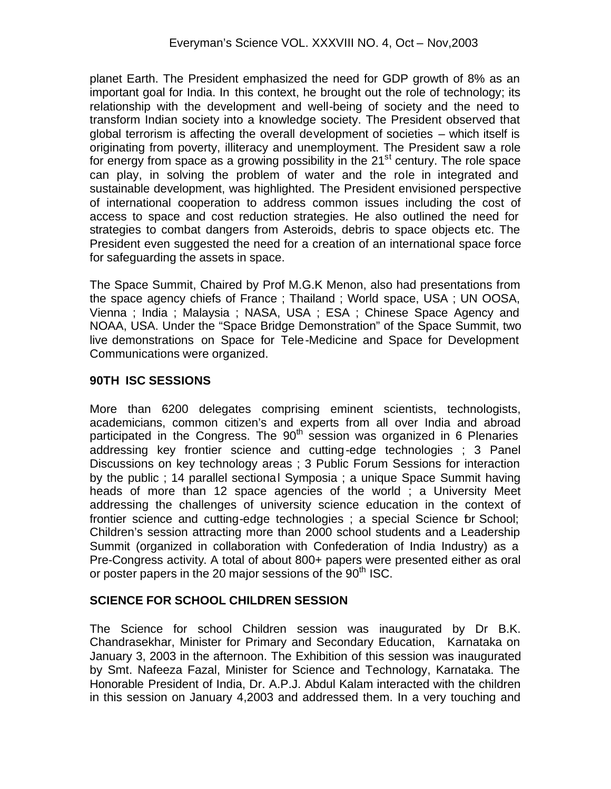planet Earth. The President emphasized the need for GDP growth of 8% as an important goal for India. In this context, he brought out the role of technology; its relationship with the development and well-being of society and the need to transform Indian society into a knowledge society. The President observed that global terrorism is affecting the overall development of societies – which itself is originating from poverty, illiteracy and unemployment. The President saw a role for energy from space as a growing possibility in the  $21<sup>st</sup>$  century. The role space can play, in solving the problem of water and the role in integrated and sustainable development, was highlighted. The President envisioned perspective of international cooperation to address common issues including the cost of access to space and cost reduction strategies. He also outlined the need for strategies to combat dangers from Asteroids, debris to space objects etc. The President even suggested the need for a creation of an international space force for safeguarding the assets in space.

The Space Summit, Chaired by Prof M.G.K Menon, also had presentations from the space agency chiefs of France ; Thailand ; World space, USA ; UN OOSA, Vienna ; India ; Malaysia ; NASA, USA ; ESA ; Chinese Space Agency and NOAA, USA. Under the "Space Bridge Demonstration" of the Space Summit, two live demonstrations on Space for Tele-Medicine and Space for Development Communications were organized.

# **90TH ISC SESSIONS**

More than 6200 delegates comprising eminent scientists, technologists, academicians, common citizen's and experts from all over India and abroad participated in the Congress. The  $90<sup>th</sup>$  session was organized in 6 Plenaries addressing key frontier science and cutting-edge technologies ; 3 Panel Discussions on key technology areas ; 3 Public Forum Sessions for interaction by the public ; 14 parallel sectional Symposia ; a unique Space Summit having heads of more than 12 space agencies of the world ; a University Meet addressing the challenges of university science education in the context of frontier science and cutting-edge technologies; a special Science br School; Children's session attracting more than 2000 school students and a Leadership Summit (organized in collaboration with Confederation of India Industry) as a Pre-Congress activity. A total of about 800+ papers were presented either as oral or poster papers in the 20 major sessions of the  $90<sup>th</sup>$  ISC.

# **SCIENCE FOR SCHOOL CHILDREN SESSION**

The Science for school Children session was inaugurated by Dr B.K. Chandrasekhar, Minister for Primary and Secondary Education, Karnataka on January 3, 2003 in the afternoon. The Exhibition of this session was inaugurated by Smt. Nafeeza Fazal, Minister for Science and Technology, Karnataka. The Honorable President of India, Dr. A.P.J. Abdul Kalam interacted with the children in this session on January 4,2003 and addressed them. In a very touching and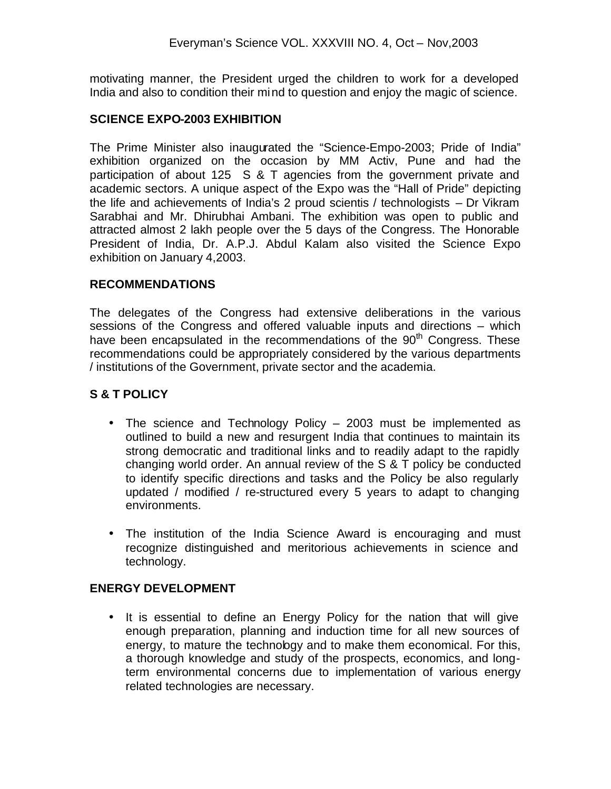motivating manner, the President urged the children to work for a developed India and also to condition their mind to question and enjoy the magic of science.

#### **SCIENCE EXPO-2003 EXHIBITION**

The Prime Minister also inaugurated the "Science-Empo-2003; Pride of India" exhibition organized on the occasion by MM Activ, Pune and had the participation of about 125 S & T agencies from the government private and academic sectors. A unique aspect of the Expo was the "Hall of Pride" depicting the life and achievements of India's 2 proud scientis / technologists – Dr Vikram Sarabhai and Mr. Dhirubhai Ambani. The exhibition was open to public and attracted almost 2 lakh people over the 5 days of the Congress. The Honorable President of India, Dr. A.P.J. Abdul Kalam also visited the Science Expo exhibition on January 4,2003.

#### **RECOMMENDATIONS**

The delegates of the Congress had extensive deliberations in the various sessions of the Congress and offered valuable inputs and directions – which have been encapsulated in the recommendations of the  $90<sup>th</sup>$  Congress. These recommendations could be appropriately considered by the various departments / institutions of the Government, private sector and the academia.

#### **S & T POLICY**

- The science and Technology Policy 2003 must be implemented as outlined to build a new and resurgent India that continues to maintain its strong democratic and traditional links and to readily adapt to the rapidly changing world order. An annual review of the S & T policy be conducted to identify specific directions and tasks and the Policy be also regularly updated / modified / re-structured every 5 years to adapt to changing environments.
- The institution of the India Science Award is encouraging and must recognize distinguished and meritorious achievements in science and technology.

#### **ENERGY DEVELOPMENT**

• It is essential to define an Energy Policy for the nation that will give enough preparation, planning and induction time for all new sources of energy, to mature the technology and to make them economical. For this, a thorough knowledge and study of the prospects, economics, and longterm environmental concerns due to implementation of various energy related technologies are necessary.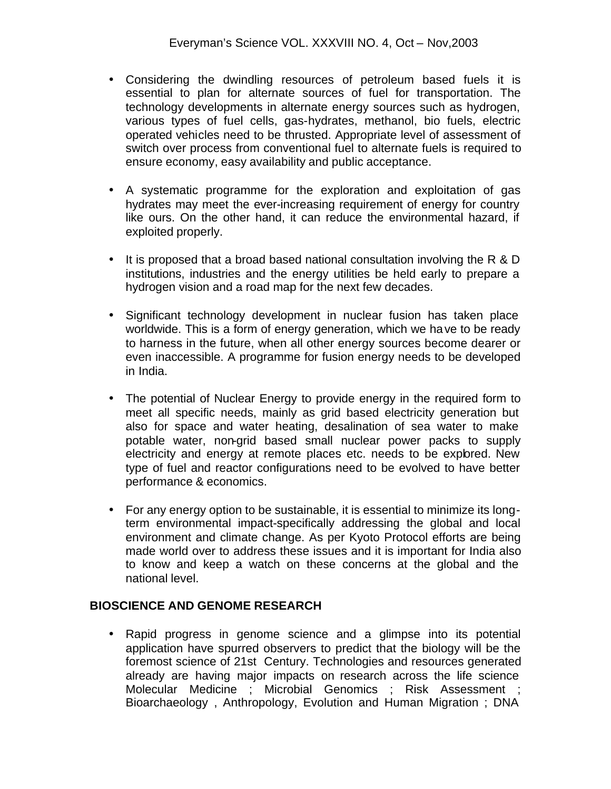- Considering the dwindling resources of petroleum based fuels it is essential to plan for alternate sources of fuel for transportation. The technology developments in alternate energy sources such as hydrogen, various types of fuel cells, gas-hydrates, methanol, bio fuels, electric operated vehicles need to be thrusted. Appropriate level of assessment of switch over process from conventional fuel to alternate fuels is required to ensure economy, easy availability and public acceptance.
- A systematic programme for the exploration and exploitation of gas hydrates may meet the ever-increasing requirement of energy for country like ours. On the other hand, it can reduce the environmental hazard, if exploited properly.
- It is proposed that a broad based national consultation involving the R & D institutions, industries and the energy utilities be held early to prepare a hydrogen vision and a road map for the next few decades.
- Significant technology development in nuclear fusion has taken place worldwide. This is a form of energy generation, which we have to be ready to harness in the future, when all other energy sources become dearer or even inaccessible. A programme for fusion energy needs to be developed in India.
- The potential of Nuclear Energy to provide energy in the required form to meet all specific needs, mainly as grid based electricity generation but also for space and water heating, desalination of sea water to make potable water, non-grid based small nuclear power packs to supply electricity and energy at remote places etc. needs to be explored. New type of fuel and reactor configurations need to be evolved to have better performance & economics.
- For any energy option to be sustainable, it is essential to minimize its longterm environmental impact-specifically addressing the global and local environment and climate change. As per Kyoto Protocol efforts are being made world over to address these issues and it is important for India also to know and keep a watch on these concerns at the global and the national level.

# **BIOSCIENCE AND GENOME RESEARCH**

• Rapid progress in genome science and a glimpse into its potential application have spurred observers to predict that the biology will be the foremost science of 21st Century. Technologies and resources generated already are having major impacts on research across the life science Molecular Medicine ; Microbial Genomics ; Risk Assessment ; Bioarchaeology , Anthropology, Evolution and Human Migration ; DNA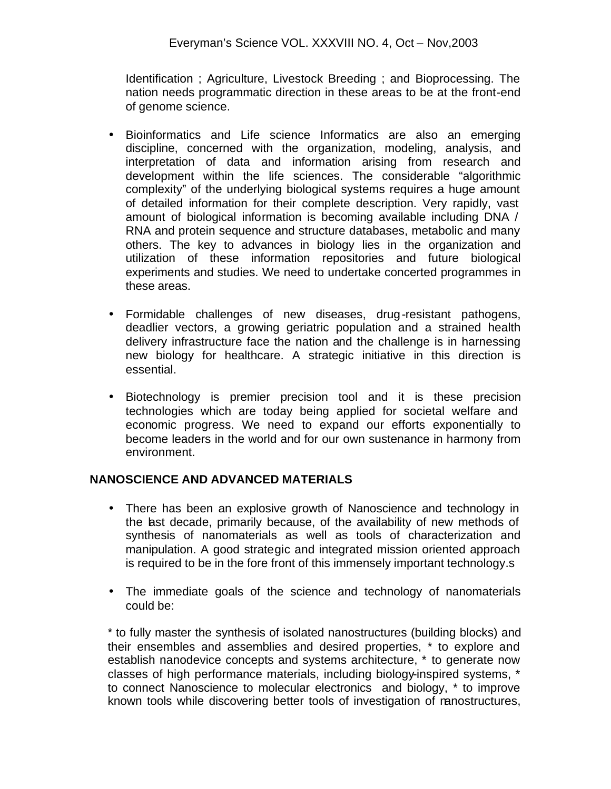Identification ; Agriculture, Livestock Breeding ; and Bioprocessing. The nation needs programmatic direction in these areas to be at the front-end of genome science.

- Bioinformatics and Life science Informatics are also an emerging discipline, concerned with the organization, modeling, analysis, and interpretation of data and information arising from research and development within the life sciences. The considerable "algorithmic complexity" of the underlying biological systems requires a huge amount of detailed information for their complete description. Very rapidly, vast amount of biological information is becoming available including DNA / RNA and protein sequence and structure databases, metabolic and many others. The key to advances in biology lies in the organization and utilization of these information repositories and future biological experiments and studies. We need to undertake concerted programmes in these areas.
- Formidable challenges of new diseases, drug-resistant pathogens, deadlier vectors, a growing geriatric population and a strained health delivery infrastructure face the nation and the challenge is in harnessing new biology for healthcare. A strategic initiative in this direction is essential.
- Biotechnology is premier precision tool and it is these precision technologies which are today being applied for societal welfare and economic progress. We need to expand our efforts exponentially to become leaders in the world and for our own sustenance in harmony from environment.

# **NANOSCIENCE AND ADVANCED MATERIALS**

- There has been an explosive growth of Nanoscience and technology in the last decade, primarily because, of the availability of new methods of synthesis of nanomaterials as well as tools of characterization and manipulation. A good strategic and integrated mission oriented approach is required to be in the fore front of this immensely important technology.s
- The immediate goals of the science and technology of nanomaterials could be:

\* to fully master the synthesis of isolated nanostructures (building blocks) and their ensembles and assemblies and desired properties, \* to explore and establish nanodevice concepts and systems architecture, \* to generate now classes of high performance materials, including biology-inspired systems, \* to connect Nanoscience to molecular electronics and biology, \* to improve known tools while discovering better tools of investigation of nanostructures,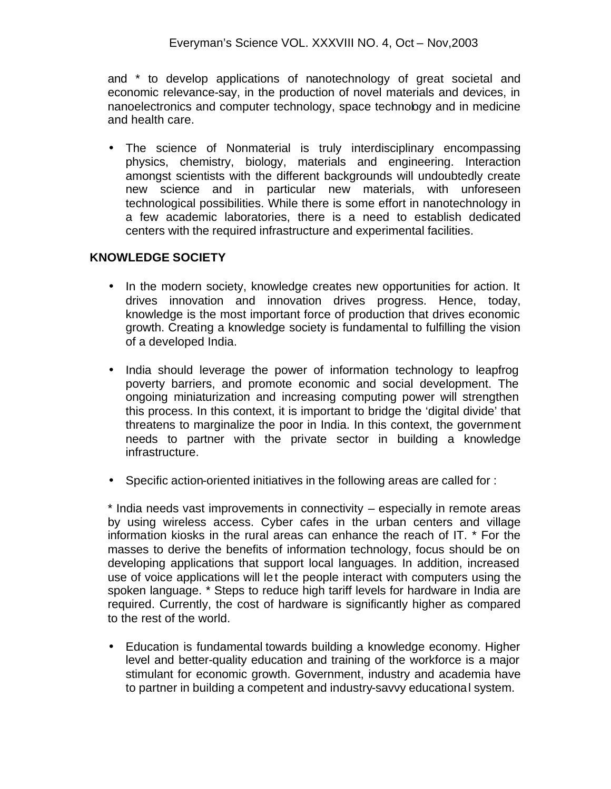and \* to develop applications of nanotechnology of great societal and economic relevance-say, in the production of novel materials and devices, in nanoelectronics and computer technology, space technology and in medicine and health care.

• The science of Nonmaterial is truly interdisciplinary encompassing physics, chemistry, biology, materials and engineering. Interaction amongst scientists with the different backgrounds will undoubtedly create new science and in particular new materials, with unforeseen technological possibilities. While there is some effort in nanotechnology in a few academic laboratories, there is a need to establish dedicated centers with the required infrastructure and experimental facilities.

# **KNOWLEDGE SOCIETY**

- In the modern society, knowledge creates new opportunities for action. It drives innovation and innovation drives progress. Hence, today, knowledge is the most important force of production that drives economic growth. Creating a knowledge society is fundamental to fulfilling the vision of a developed India.
- India should leverage the power of information technology to leapfrog poverty barriers, and promote economic and social development. The ongoing miniaturization and increasing computing power will strengthen this process. In this context, it is important to bridge the 'digital divide' that threatens to marginalize the poor in India. In this context, the government needs to partner with the private sector in building a knowledge infrastructure.
- Specific action-oriented initiatives in the following areas are called for :

\* India needs vast improvements in connectivity – especially in remote areas by using wireless access. Cyber cafes in the urban centers and village information kiosks in the rural areas can enhance the reach of IT. \* For the masses to derive the benefits of information technology, focus should be on developing applications that support local languages. In addition, increased use of voice applications will let the people interact with computers using the spoken language. \* Steps to reduce high tariff levels for hardware in India are required. Currently, the cost of hardware is significantly higher as compared to the rest of the world.

• Education is fundamental towards building a knowledge economy. Higher level and better-quality education and training of the workforce is a major stimulant for economic growth. Government, industry and academia have to partner in building a competent and industry-savvy educational system.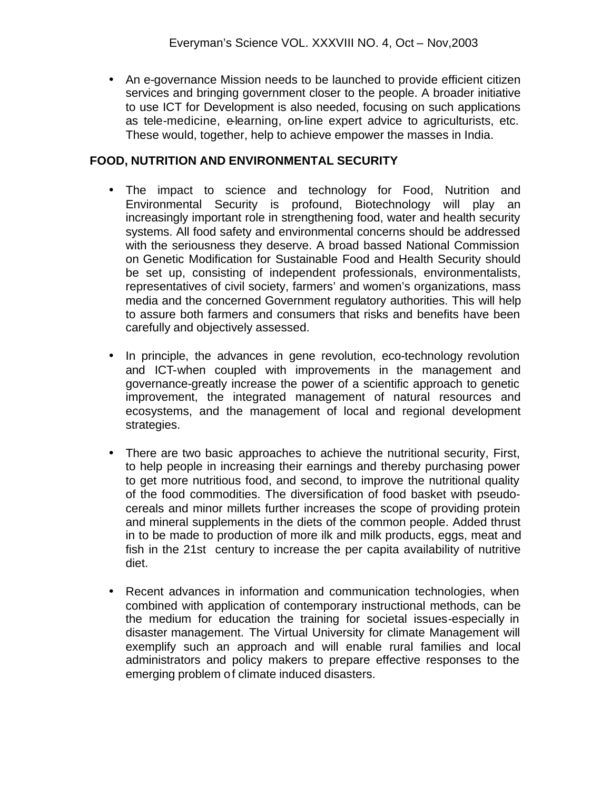• An e-governance Mission needs to be launched to provide efficient citizen services and bringing government closer to the people. A broader initiative to use ICT for Development is also needed, focusing on such applications as tele-medicine, e-learning, on-line expert advice to agriculturists, etc. These would, together, help to achieve empower the masses in India.

#### **FOOD, NUTRITION AND ENVIRONMENTAL SECURITY**

- The impact to science and technology for Food, Nutrition and Environmental Security is profound, Biotechnology will play an increasingly important role in strengthening food, water and health security systems. All food safety and environmental concerns should be addressed with the seriousness they deserve. A broad bassed National Commission on Genetic Modification for Sustainable Food and Health Security should be set up, consisting of independent professionals, environmentalists, representatives of civil society, farmers' and women's organizations, mass media and the concerned Government regulatory authorities. This will help to assure both farmers and consumers that risks and benefits have been carefully and objectively assessed.
- In principle, the advances in gene revolution, eco-technology revolution and ICT-when coupled with improvements in the management and governance-greatly increase the power of a scientific approach to genetic improvement, the integrated management of natural resources and ecosystems, and the management of local and regional development strategies.
- There are two basic approaches to achieve the nutritional security, First, to help people in increasing their earnings and thereby purchasing power to get more nutritious food, and second, to improve the nutritional quality of the food commodities. The diversification of food basket with pseudocereals and minor millets further increases the scope of providing protein and mineral supplements in the diets of the common people. Added thrust in to be made to production of more ilk and milk products, eggs, meat and fish in the 21st century to increase the per capita availability of nutritive diet.
- Recent advances in information and communication technologies, when combined with application of contemporary instructional methods, can be the medium for education the training for societal issues-especially in disaster management. The Virtual University for climate Management will exemplify such an approach and will enable rural families and local administrators and policy makers to prepare effective responses to the emerging problem of climate induced disasters.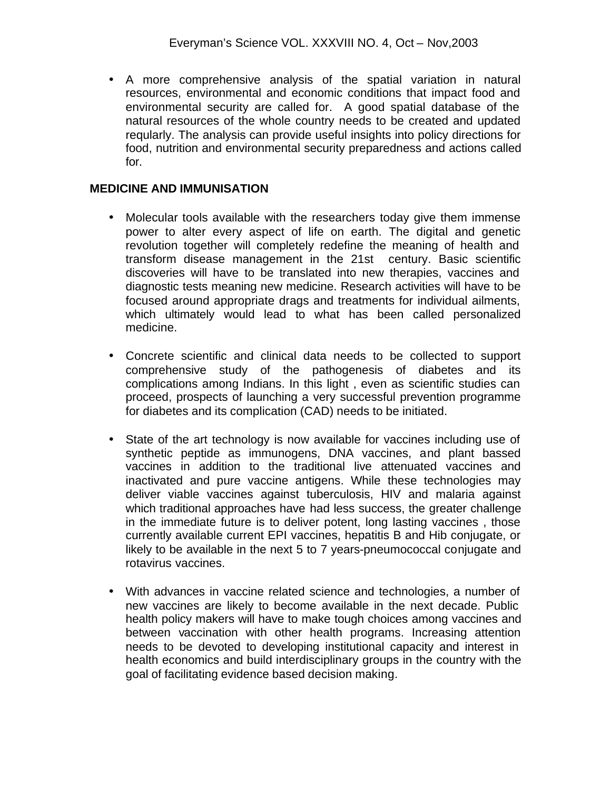• A more comprehensive analysis of the spatial variation in natural resources, environmental and economic conditions that impact food and environmental security are called for. A good spatial database of the natural resources of the whole country needs to be created and updated reqularly. The analysis can provide useful insights into policy directions for food, nutrition and environmental security preparedness and actions called for.

#### **MEDICINE AND IMMUNISATION**

- Molecular tools available with the researchers today give them immense power to alter every aspect of life on earth. The digital and genetic revolution together will completely redefine the meaning of health and transform disease management in the 21st century. Basic scientific discoveries will have to be translated into new therapies, vaccines and diagnostic tests meaning new medicine. Research activities will have to be focused around appropriate drags and treatments for individual ailments, which ultimately would lead to what has been called personalized medicine.
- Concrete scientific and clinical data needs to be collected to support comprehensive study of the pathogenesis of diabetes and its complications among Indians. In this light , even as scientific studies can proceed, prospects of launching a very successful prevention programme for diabetes and its complication (CAD) needs to be initiated.
- State of the art technology is now available for vaccines including use of synthetic peptide as immunogens, DNA vaccines, and plant bassed vaccines in addition to the traditional live attenuated vaccines and inactivated and pure vaccine antigens. While these technologies may deliver viable vaccines against tuberculosis, HIV and malaria against which traditional approaches have had less success, the greater challenge in the immediate future is to deliver potent, long lasting vaccines , those currently available current EPI vaccines, hepatitis B and Hib conjugate, or likely to be available in the next 5 to 7 years-pneumococcal conjugate and rotavirus vaccines.
- With advances in vaccine related science and technologies, a number of new vaccines are likely to become available in the next decade. Public health policy makers will have to make tough choices among vaccines and between vaccination with other health programs. Increasing attention needs to be devoted to developing institutional capacity and interest in health economics and build interdisciplinary groups in the country with the goal of facilitating evidence based decision making.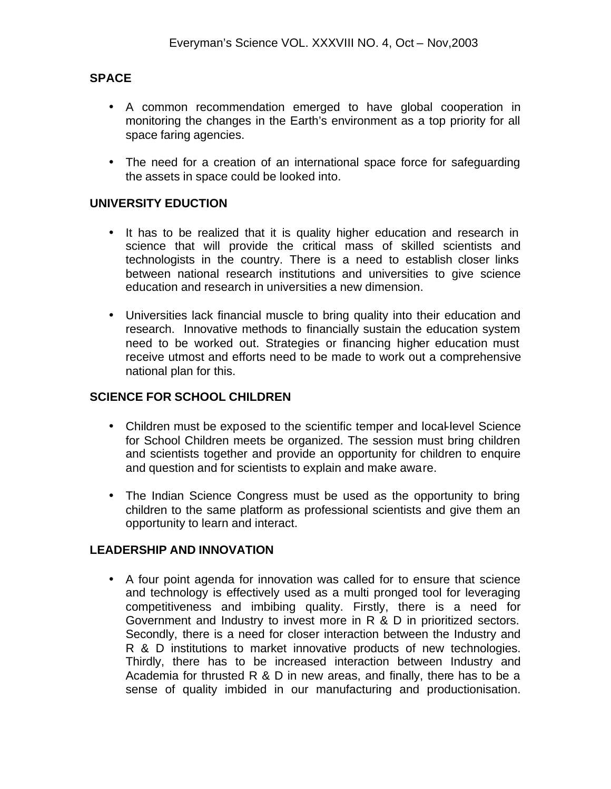# **SPACE**

- A common recommendation emerged to have global cooperation in monitoring the changes in the Earth's environment as a top priority for all space faring agencies.
- The need for a creation of an international space force for safeguarding the assets in space could be looked into.

# **UNIVERSITY EDUCTION**

- It has to be realized that it is quality higher education and research in science that will provide the critical mass of skilled scientists and technologists in the country. There is a need to establish closer links between national research institutions and universities to give science education and research in universities a new dimension.
- Universities lack financial muscle to bring quality into their education and research. Innovative methods to financially sustain the education system need to be worked out. Strategies or financing higher education must receive utmost and efforts need to be made to work out a comprehensive national plan for this.

# **SCIENCE FOR SCHOOL CHILDREN**

- Children must be exposed to the scientific temper and local-level Science for School Children meets be organized. The session must bring children and scientists together and provide an opportunity for children to enquire and question and for scientists to explain and make aware.
- The Indian Science Congress must be used as the opportunity to bring children to the same platform as professional scientists and give them an opportunity to learn and interact.

# **LEADERSHIP AND INNOVATION**

• A four point agenda for innovation was called for to ensure that science and technology is effectively used as a multi pronged tool for leveraging competitiveness and imbibing quality. Firstly, there is a need for Government and Industry to invest more in R & D in prioritized sectors. Secondly, there is a need for closer interaction between the Industry and R & D institutions to market innovative products of new technologies. Thirdly, there has to be increased interaction between Industry and Academia for thrusted R & D in new areas, and finally, there has to be a sense of quality imbided in our manufacturing and productionisation.